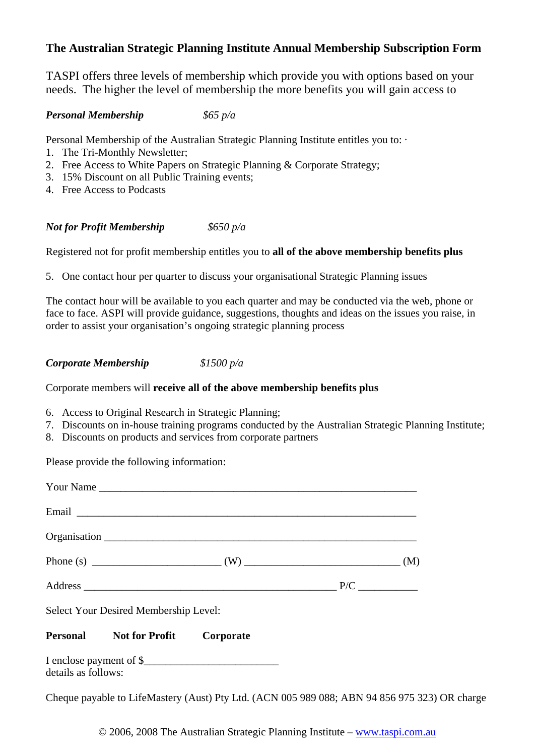## **The Australian Strategic Planning Institute Annual Membership Subscription Form**

TASPI offers three levels of membership which provide you with options based on your needs. The higher the level of membership the more benefits you will gain access to

## *Personal Membership \$65 p/a*

Personal Membership of the Australian Strategic Planning Institute entitles you to:

- 1. The Tri-Monthly Newsletter;
- 2. Free Access to White Papers on Strategic Planning & Corporate Strategy;
- 3. 15% Discount on all Public Training events;
- 4. Free Access to Podcasts

*Not for Profit Membership \$650 p/a*

Registered not for profit membership entitles you to **all of the above membership benefits plus**

5. One contact hour per quarter to discuss your organisational Strategic Planning issues

The contact hour will be available to you each quarter and may be conducted via the web, phone or face to face. ASPI will provide guidance, suggestions, thoughts and ideas on the issues you raise, in order to assist your organisation's ongoing strategic planning process

*Corporate Membership \$1500 p/a*

Corporate members will **receive all of the above membership benefits plus**

- 6. Access to Original Research in Strategic Planning;
- 7. Discounts on in-house training programs conducted by the Australian Strategic Planning Institute;
- 8. Discounts on products and services from corporate partners

Please provide the following information:

|                     | Select Your Desired Membership Level:    |  |  |
|---------------------|------------------------------------------|--|--|
|                     | <b>Personal Not for Profit Corporate</b> |  |  |
| details as follows: |                                          |  |  |

Cheque payable to LifeMastery (Aust) Pty Ltd. (ACN 005 989 088; ABN 94 856 975 323) OR charge

© 2006, 2008 The Australian Strategic Planning Institute – www.taspi.com.au